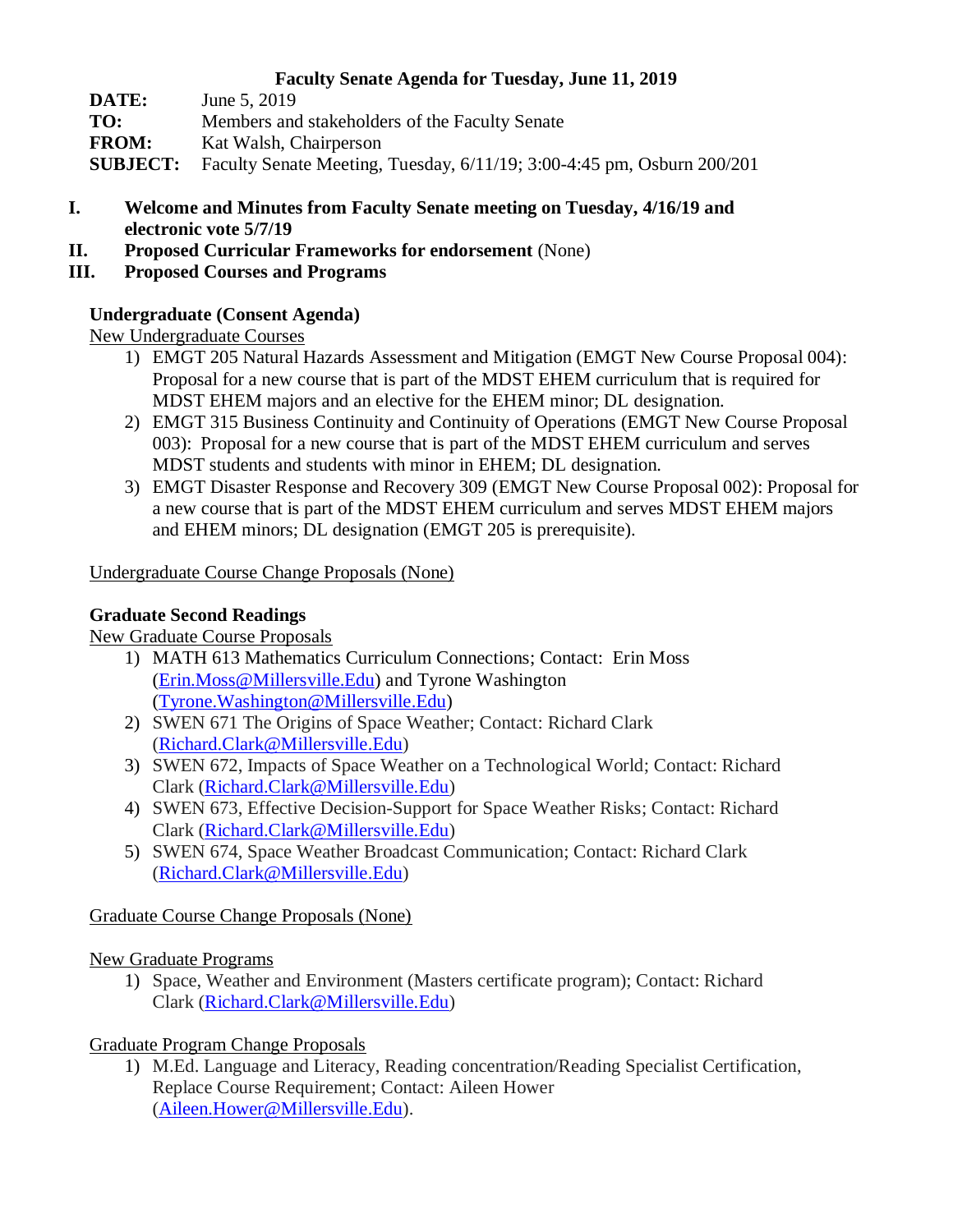#### **Faculty Senate Agenda for Tuesday, June 11, 2019**

| DATE:        | June 5, 2019                                                                           |
|--------------|----------------------------------------------------------------------------------------|
| TO:          | Members and stakeholders of the Faculty Senate                                         |
| <b>FROM:</b> | Kat Walsh, Chairperson                                                                 |
|              | <b>SUBJECT:</b> Faculty Senate Meeting, Tuesday, 6/11/19; 3:00-4:45 pm, Osburn 200/201 |

- **I. Welcome and Minutes from Faculty Senate meeting on Tuesday, 4/16/19 and electronic vote 5/7/19**
- **II. Proposed Curricular Frameworks for endorsement** (None)
- **III. Proposed Courses and Programs**

# **Undergraduate (Consent Agenda)**

New Undergraduate Courses

- 1) EMGT 205 Natural Hazards Assessment and Mitigation (EMGT New Course Proposal 004): Proposal for a new course that is part of the MDST EHEM curriculum that is required for MDST EHEM majors and an elective for the EHEM minor; DL designation.
- 2) EMGT 315 Business Continuity and Continuity of Operations (EMGT New Course Proposal 003): Proposal for a new course that is part of the MDST EHEM curriculum and serves MDST students and students with minor in EHEM; DL designation.
- 3) EMGT Disaster Response and Recovery 309 (EMGT New Course Proposal 002): Proposal for a new course that is part of the MDST EHEM curriculum and serves MDST EHEM majors and EHEM minors; DL designation (EMGT 205 is prerequisite).

## Undergraduate Course Change Proposals (None)

#### **Graduate Second Readings**

## New Graduate Course Proposals

- 1) MATH 613 Mathematics Curriculum Connections; Contact: Erin Moss [\(Erin.Moss@Millersville.Edu\)](mailto:Erin.Moss@Millersville.Edu) and Tyrone Washington [\(Tyrone.Washington@Millersville.Edu\)](mailto:Tyrone.Washington@Millersville.Edu)
- 2) SWEN 671 The Origins of Space Weather; Contact: Richard Clark [\(Richard.Clark@Millersville.Edu\)](mailto:Richard.Clark@Millersville.Edu)
- 3) SWEN 672, Impacts of Space Weather on a Technological World; Contact: Richard Clark [\(Richard.Clark@Millersville.Edu\)](mailto:Richard.Clark@Millersville.Edu)
- 4) SWEN 673, Effective Decision-Support for Space Weather Risks; Contact: Richard Clark [\(Richard.Clark@Millersville.Edu\)](mailto:Richard.Clark@Millersville.Edu)
- 5) SWEN 674, Space Weather Broadcast Communication; Contact: Richard Clark [\(Richard.Clark@Millersville.Edu\)](mailto:Richard.Clark@Millersville.Edu)

## Graduate Course Change Proposals (None)

## New Graduate Programs

1) Space, Weather and Environment (Masters certificate program); Contact: Richard Clark [\(Richard.Clark@Millersville.Edu\)](mailto:Richard.Clark@Millersville.Edu)

## Graduate Program Change Proposals

1) M.Ed. Language and Literacy, Reading concentration/Reading Specialist Certification, Replace Course Requirement; Contact: Aileen Hower [\(Aileen.Hower@Millersville.Edu\)](mailto:Aileen.Hower@Millersville.Edu).